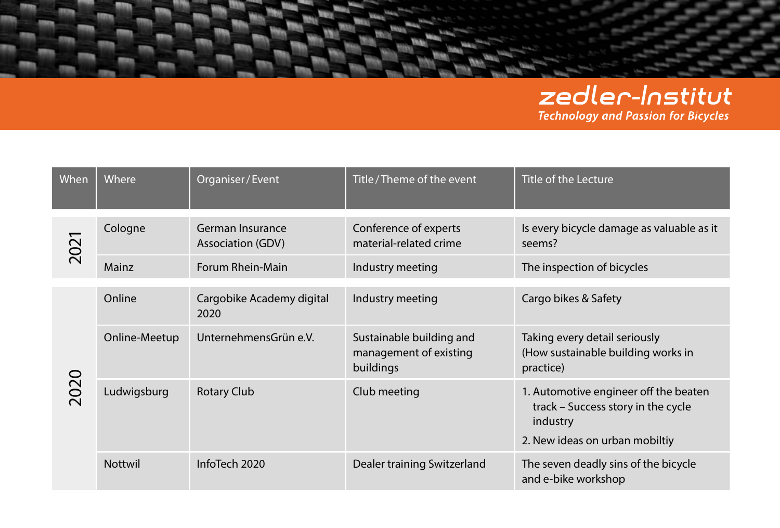| When | Where          | Organiser/Event                       | Title/Theme of the event                                        | Title of the Lecture                                                                                                      |
|------|----------------|---------------------------------------|-----------------------------------------------------------------|---------------------------------------------------------------------------------------------------------------------------|
| 2021 | Cologne        | German Insurance<br>Association (GDV) | Conference of experts<br>material-related crime                 | Is every bicycle damage as valuable as it<br>seems?                                                                       |
|      | Mainz          | Forum Rhein-Main                      | Industry meeting                                                | The inspection of bicycles                                                                                                |
| 2020 | Online         | Cargobike Academy digital<br>2020     | Industry meeting                                                | Cargo bikes & Safety                                                                                                      |
|      | Online-Meetup  | UnternehmensGrün e.V.                 | Sustainable building and<br>management of existing<br>buildings | Taking every detail seriously<br>(How sustainable building works in<br>practice)                                          |
|      | Ludwigsburg    | <b>Rotary Club</b>                    | Club meeting                                                    | 1. Automotive engineer off the beaten<br>track – Success story in the cycle<br>industry<br>2. New ideas on urban mobiltiy |
|      | <b>Nottwil</b> | InfoTech 2020                         | Dealer training Switzerland                                     | The seven deadly sins of the bicycle<br>and e-bike workshop                                                               |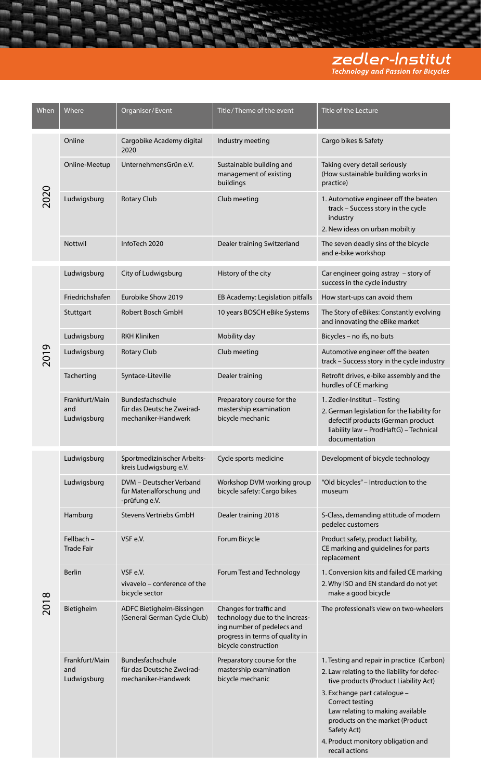| When | Where                                | Organiser/Event                                                             | Title/Theme of the event                                                                                                                           | Title of the Lecture                                                                                                                                                                                                                                                                                                                |
|------|--------------------------------------|-----------------------------------------------------------------------------|----------------------------------------------------------------------------------------------------------------------------------------------------|-------------------------------------------------------------------------------------------------------------------------------------------------------------------------------------------------------------------------------------------------------------------------------------------------------------------------------------|
| 2020 | Online                               | Cargobike Academy digital<br>2020                                           | Industry meeting                                                                                                                                   | Cargo bikes & Safety                                                                                                                                                                                                                                                                                                                |
|      | Online-Meetup                        | UnternehmensGrün e.V.                                                       | Sustainable building and<br>management of existing<br>buildings                                                                                    | Taking every detail seriously<br>(How sustainable building works in<br>practice)                                                                                                                                                                                                                                                    |
|      | Ludwigsburg                          | <b>Rotary Club</b>                                                          | Club meeting                                                                                                                                       | 1. Automotive engineer off the beaten<br>track - Success story in the cycle<br>industry<br>2. New ideas on urban mobiltiy                                                                                                                                                                                                           |
|      | <b>Nottwil</b>                       | InfoTech 2020                                                               | Dealer training Switzerland                                                                                                                        | The seven deadly sins of the bicycle<br>and e-bike workshop                                                                                                                                                                                                                                                                         |
|      | Ludwigsburg                          | City of Ludwigsburg                                                         | History of the city                                                                                                                                | Car engineer going astray - story of<br>success in the cycle industry                                                                                                                                                                                                                                                               |
|      | Friedrichshafen                      | Eurobike Show 2019                                                          | EB Academy: Legislation pitfalls                                                                                                                   | How start-ups can avoid them                                                                                                                                                                                                                                                                                                        |
|      | Stuttgart                            | Robert Bosch GmbH                                                           | 10 years BOSCH eBike Systems                                                                                                                       | The Story of eBikes: Constantly evolving<br>and innovating the eBike market                                                                                                                                                                                                                                                         |
|      | Ludwigsburg                          | <b>RKH Kliniken</b>                                                         | Mobility day                                                                                                                                       | Bicycles - no ifs, no buts                                                                                                                                                                                                                                                                                                          |
| 2019 | Ludwigsburg                          | <b>Rotary Club</b>                                                          | Club meeting                                                                                                                                       | Automotive engineer off the beaten<br>track - Success story in the cycle industry                                                                                                                                                                                                                                                   |
|      | Tacherting                           | Syntace-Liteville                                                           | Dealer training                                                                                                                                    | Retrofit drives, e-bike assembly and the<br>hurdles of CE marking                                                                                                                                                                                                                                                                   |
|      | Frankfurt/Main<br>and<br>Ludwigsburg | <b>Bundesfachschule</b><br>für das Deutsche Zweirad-<br>mechaniker-Handwerk | Preparatory course for the<br>mastership examination<br>bicycle mechanic                                                                           | 1. Zedler-Institut - Testing<br>2. German legislation for the liability for<br>defectif products (German product<br>liability law - ProdHaftG) - Technical<br>documentation                                                                                                                                                         |
|      | Ludwigsburg                          | Sportmedizinischer Arbeits-<br>kreis Ludwigsburg e.V.                       | Cycle sports medicine                                                                                                                              | Development of bicycle technology                                                                                                                                                                                                                                                                                                   |
|      | Ludwigsburg                          | DVM - Deutscher Verband<br>für Materialforschung und<br>-prüfung e.V.       | Workshop DVM working group<br>bicycle safety: Cargo bikes                                                                                          | "Old bicycles" - Introduction to the<br>museum                                                                                                                                                                                                                                                                                      |
|      | Hamburg                              | Stevens Vertriebs GmbH                                                      | Dealer training 2018                                                                                                                               | S-Class, demanding attitude of modern<br>pedelec customers                                                                                                                                                                                                                                                                          |
|      | Fellbach-<br><b>Trade Fair</b>       | VSF e.V.                                                                    | Forum Bicycle                                                                                                                                      | Product safety, product liability,<br>CE marking and guidelines for parts<br>replacement                                                                                                                                                                                                                                            |
|      | <b>Berlin</b>                        | VSF e.V.<br>vivavelo - conference of the<br>bicycle sector                  | Forum Test and Technology                                                                                                                          | 1. Conversion kits and failed CE marking<br>2. Why ISO and EN standard do not yet<br>make a good bicycle                                                                                                                                                                                                                            |
| 2018 | Bietigheim                           | ADFC Bietigheim-Bissingen<br>(General German Cycle Club)                    | Changes for traffic and<br>technology due to the increas-<br>ing number of pedelecs and<br>progress in terms of quality in<br>bicycle construction | The professional's view on two-wheelers                                                                                                                                                                                                                                                                                             |
|      | Frankfurt/Main<br>and<br>Ludwigsburg | Bundesfachschule<br>für das Deutsche Zweirad-<br>mechaniker-Handwerk        | Preparatory course for the<br>mastership examination<br>bicycle mechanic                                                                           | 1. Testing and repair in practice (Carbon)<br>2. Law relating to the liability for defec-<br>tive products (Product Liability Act)<br>3. Exchange part catalogue -<br>Correct testing<br>Law relating to making available<br>products on the market (Product<br>Safety Act)<br>4. Product monitory obligation and<br>recall actions |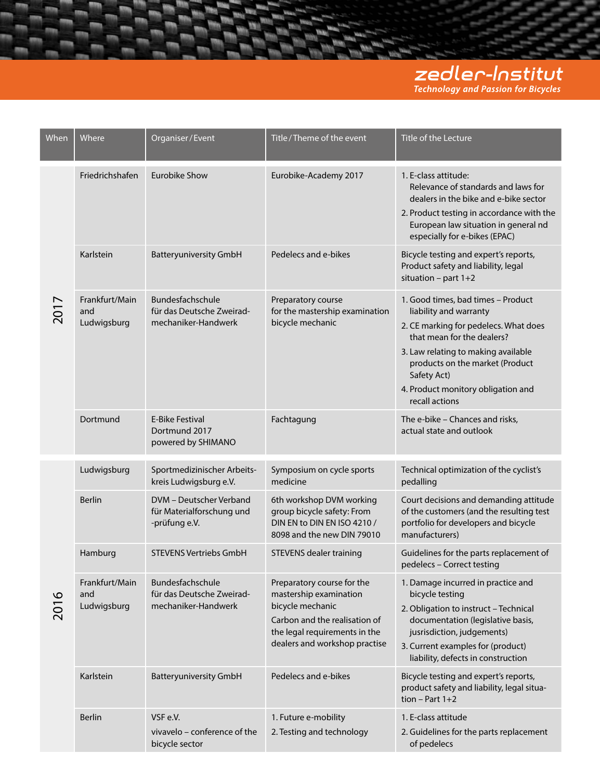| When           | Where                                | Organiser / Event                                                           | Title/Theme of the event                                                                                                                                                    | Title of the Lecture                                                                                                                                                                                                                                                                 |
|----------------|--------------------------------------|-----------------------------------------------------------------------------|-----------------------------------------------------------------------------------------------------------------------------------------------------------------------------|--------------------------------------------------------------------------------------------------------------------------------------------------------------------------------------------------------------------------------------------------------------------------------------|
| 201            | Friedrichshafen                      | <b>Eurobike Show</b>                                                        | Eurobike-Academy 2017                                                                                                                                                       | 1. E-class attitude:<br>Relevance of standards and laws for<br>dealers in the bike and e-bike sector<br>2. Product testing in accordance with the<br>European law situation in general nd<br>especially for e-bikes (EPAC)                                                           |
|                | Karlstein                            | <b>Batteryuniversity GmbH</b>                                               | Pedelecs and e-bikes                                                                                                                                                        | Bicycle testing and expert's reports,<br>Product safety and liability, legal<br>situation - part $1+2$                                                                                                                                                                               |
|                | Frankfurt/Main<br>and<br>Ludwigsburg | <b>Bundesfachschule</b><br>für das Deutsche Zweirad-<br>mechaniker-Handwerk | Preparatory course<br>for the mastership examination<br>bicycle mechanic                                                                                                    | 1. Good times, bad times - Product<br>liability and warranty<br>2. CE marking for pedelecs. What does<br>that mean for the dealers?<br>3. Law relating to making available<br>products on the market (Product<br>Safety Act)<br>4. Product monitory obligation and<br>recall actions |
|                | Dortmund                             | <b>E-Bike Festival</b><br>Dortmund 2017<br>powered by SHIMANO               | Fachtagung                                                                                                                                                                  | The e-bike - Chances and risks,<br>actual state and outlook                                                                                                                                                                                                                          |
|                | Ludwigsburg                          | Sportmedizinischer Arbeits-<br>kreis Ludwigsburg e.V.                       | Symposium on cycle sports<br>medicine                                                                                                                                       | Technical optimization of the cyclist's<br>pedalling                                                                                                                                                                                                                                 |
|                | <b>Berlin</b>                        | DVM - Deutscher Verband<br>für Materialforschung und<br>-prüfung e.V.       | 6th workshop DVM working<br>group bicycle safety: From<br>DIN EN to DIN EN ISO 4210 /<br>8098 and the new DIN 79010                                                         | Court decisions and demanding attitude<br>of the customers (and the resulting test<br>portfolio for developers and bicycle<br>manufacturers)                                                                                                                                         |
|                | Hamburg                              | <b>STEVENS Vertriebs GmbH</b>                                               | <b>STEVENS dealer training</b>                                                                                                                                              | Guidelines for the parts replacement of<br>pedelecs - Correct testing                                                                                                                                                                                                                |
| $\circ$<br>201 | Frankfurt/Main<br>and<br>Ludwigsburg | <b>Bundesfachschule</b><br>für das Deutsche Zweirad-<br>mechaniker-Handwerk | Preparatory course for the<br>mastership examination<br>bicycle mechanic<br>Carbon and the realisation of<br>the legal requirements in the<br>dealers and workshop practise | 1. Damage incurred in practice and<br>bicycle testing<br>2. Obligation to instruct - Technical<br>documentation (legislative basis,<br>jusrisdiction, judgements)<br>3. Current examples for (product)<br>liability, defects in construction                                         |
|                | Karlstein                            | <b>Batteryuniversity GmbH</b>                                               | Pedelecs and e-bikes                                                                                                                                                        | Bicycle testing and expert's reports,<br>product safety and liability, legal situa-<br>$tion - Part 1+2$                                                                                                                                                                             |
|                | <b>Berlin</b>                        | VSF e.V.<br>vivavelo – conference of the<br>bicycle sector                  | 1. Future e-mobility<br>2. Testing and technology                                                                                                                           | 1. E-class attitude<br>2. Guidelines for the parts replacement<br>of pedelecs                                                                                                                                                                                                        |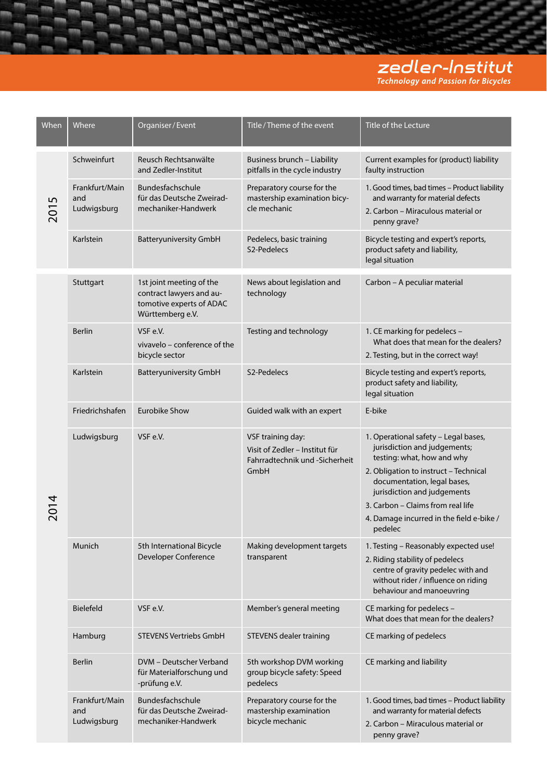| When     | Where                                | Organiser / Event                                                                                    | Title/Theme of the event                                                                      | Title of the Lecture                                                                                                                                                                                      |
|----------|--------------------------------------|------------------------------------------------------------------------------------------------------|-----------------------------------------------------------------------------------------------|-----------------------------------------------------------------------------------------------------------------------------------------------------------------------------------------------------------|
| 5<br>201 | Schweinfurt                          | Reusch Rechtsanwälte<br>and Zedler-Institut                                                          | Business brunch - Liability<br>pitfalls in the cycle industry                                 | Current examples for (product) liability<br>faulty instruction                                                                                                                                            |
|          | Frankfurt/Main<br>and<br>Ludwigsburg | Bundesfachschule<br>für das Deutsche Zweirad-<br>mechaniker-Handwerk                                 | Preparatory course for the<br>mastership examination bicy-<br>cle mechanic                    | 1. Good times, bad times - Product liability<br>and warranty for material defects<br>2. Carbon - Miraculous material or<br>penny grave?                                                                   |
|          | Karlstein                            | <b>Batteryuniversity GmbH</b>                                                                        | Pedelecs, basic training<br>S2-Pedelecs                                                       | Bicycle testing and expert's reports,<br>product safety and liability,<br>legal situation                                                                                                                 |
|          | Stuttgart                            | 1st joint meeting of the<br>contract lawyers and au-<br>tomotive experts of ADAC<br>Württemberg e.V. | News about legislation and<br>technology                                                      | Carbon - A peculiar material                                                                                                                                                                              |
|          | <b>Berlin</b>                        | VSF e.V.<br>vivavelo - conference of the<br>bicycle sector                                           | Testing and technology                                                                        | 1. CE marking for pedelecs -<br>What does that mean for the dealers?<br>2. Testing, but in the correct way!                                                                                               |
|          | Karlstein                            | <b>Batteryuniversity GmbH</b>                                                                        | S2-Pedelecs                                                                                   | Bicycle testing and expert's reports,<br>product safety and liability,<br>legal situation                                                                                                                 |
|          | Friedrichshafen                      | <b>Eurobike Show</b>                                                                                 | Guided walk with an expert                                                                    | E-bike                                                                                                                                                                                                    |
|          | Ludwigsburg                          | VSF e.V.                                                                                             | VSF training day:<br>Visit of Zedler - Institut für<br>Fahrradtechnik und -Sicherheit<br>GmbH | 1. Operational safety - Legal bases,<br>jurisdiction and judgements;<br>testing: what, how and why<br>2. Obligation to instruct - Technical<br>documentation, legal bases,<br>jurisdiction and judgements |
|          |                                      |                                                                                                      |                                                                                               | 3. Carbon - Claims from real life<br>4. Damage incurred in the field e-bike /<br>pedelec                                                                                                                  |
|          | Munich                               | 5th International Bicycle<br>Developer Conference                                                    | Making development targets<br>transparent                                                     | 1. Testing - Reasonably expected use!<br>2. Riding stability of pedelecs<br>centre of gravity pedelec with and<br>without rider / influence on riding<br>behaviour and manoeuvring                        |
|          | Bielefeld                            | VSF e.V.                                                                                             | Member's general meeting                                                                      | CE marking for pedelecs -<br>What does that mean for the dealers?                                                                                                                                         |
|          | Hamburg                              | <b>STEVENS Vertriebs GmbH</b>                                                                        | <b>STEVENS dealer training</b>                                                                | CE marking of pedelecs                                                                                                                                                                                    |
|          | <b>Berlin</b>                        | DVM - Deutscher Verband<br>für Materialforschung und<br>-prüfung e.V.                                | 5th workshop DVM working<br>group bicycle safety: Speed<br>pedelecs                           | CE marking and liability                                                                                                                                                                                  |
|          | Frankfurt/Main<br>and<br>Ludwigsburg | Bundesfachschule<br>für das Deutsche Zweirad-<br>mechaniker-Handwerk                                 | Preparatory course for the<br>mastership examination<br>bicycle mechanic                      | 1. Good times, bad times - Product liability<br>and warranty for material defects<br>2. Carbon - Miraculous material or<br>penny grave?                                                                   |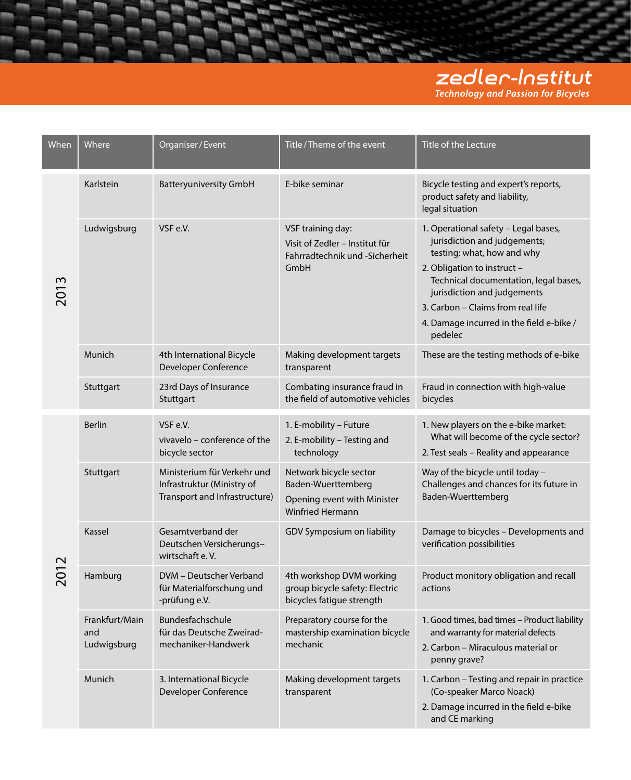| When | Where                                | Organiser / Event                                                                          | Title/Theme of the event                                                                               | Title of the Lecture                                                                                                                                                                                                                                                                                  |
|------|--------------------------------------|--------------------------------------------------------------------------------------------|--------------------------------------------------------------------------------------------------------|-------------------------------------------------------------------------------------------------------------------------------------------------------------------------------------------------------------------------------------------------------------------------------------------------------|
| 2013 | Karlstein                            | <b>Batteryuniversity GmbH</b>                                                              | E-bike seminar                                                                                         | Bicycle testing and expert's reports,<br>product safety and liability,<br>legal situation                                                                                                                                                                                                             |
|      | Ludwigsburg                          | VSF e.V.                                                                                   | VSF training day:<br>Visit of Zedler - Institut für<br>Fahrradtechnik und -Sicherheit<br>GmbH          | 1. Operational safety - Legal bases,<br>jurisdiction and judgements;<br>testing: what, how and why<br>2. Obligation to instruct -<br>Technical documentation, legal bases,<br>jurisdiction and judgements<br>3. Carbon - Claims from real life<br>4. Damage incurred in the field e-bike /<br>pedelec |
|      | Munich                               | 4th International Bicycle<br>Developer Conference                                          | Making development targets<br>transparent                                                              | These are the testing methods of e-bike                                                                                                                                                                                                                                                               |
|      | Stuttgart                            | 23rd Days of Insurance<br>Stuttgart                                                        | Combating insurance fraud in<br>the field of automotive vehicles                                       | Fraud in connection with high-value<br>bicycles                                                                                                                                                                                                                                                       |
|      | <b>Berlin</b>                        | VSF e.V.<br>vivavelo - conference of the<br>bicycle sector                                 | 1. E-mobility - Future<br>2. E-mobility - Testing and<br>technology                                    | 1. New players on the e-bike market:<br>What will become of the cycle sector?<br>2. Test seals - Reality and appearance                                                                                                                                                                               |
|      | Stuttgart                            | Ministerium für Verkehr und<br>Infrastruktur (Ministry of<br>Transport and Infrastructure) | Network bicycle sector<br>Baden-Wuerttemberg<br>Opening event with Minister<br><b>Winfried Hermann</b> | Way of the bicycle until today -<br>Challenges and chances for its future in<br>Baden-Wuerttemberg                                                                                                                                                                                                    |
|      | Kassel                               | Gesamtverband der<br>Deutschen Versicherungs-<br>wirtschaft e.V.                           | GDV Symposium on liability                                                                             | Damage to bicycles - Developments and<br>verification possibilities                                                                                                                                                                                                                                   |
| 2012 | Hamburg                              | DVM - Deutscher Verband<br>für Materialforschung und<br>-prüfung e.V.                      | 4th workshop DVM working<br>group bicycle safety: Electric<br>bicycles fatigue strength                | Product monitory obligation and recall<br>actions                                                                                                                                                                                                                                                     |
|      | Frankfurt/Main<br>and<br>Ludwigsburg | Bundesfachschule<br>für das Deutsche Zweirad-<br>mechaniker-Handwerk                       | Preparatory course for the<br>mastership examination bicycle<br>mechanic                               | 1. Good times, bad times - Product liability<br>and warranty for material defects<br>2. Carbon - Miraculous material or<br>penny grave?                                                                                                                                                               |
|      | Munich                               | 3. International Bicycle<br>Developer Conference                                           | Making development targets<br>transparent                                                              | 1. Carbon - Testing and repair in practice<br>(Co-speaker Marco Noack)<br>2. Damage incurred in the field e-bike<br>and CE marking                                                                                                                                                                    |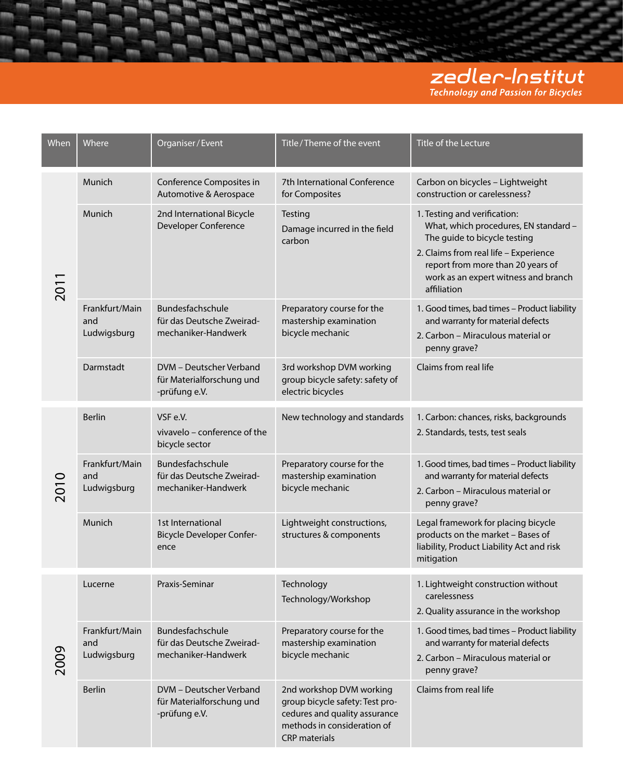| When | Where                                | Organiser / Event                                                     | Title/Theme of the event                                                                                                                            | Title of the Lecture                                                                                                                                                                                                                       |
|------|--------------------------------------|-----------------------------------------------------------------------|-----------------------------------------------------------------------------------------------------------------------------------------------------|--------------------------------------------------------------------------------------------------------------------------------------------------------------------------------------------------------------------------------------------|
| 2011 | Munich                               | Conference Composites in<br>Automotive & Aerospace                    | 7th International Conference<br>for Composites                                                                                                      | Carbon on bicycles - Lightweight<br>construction or carelessness?                                                                                                                                                                          |
|      | Munich                               | 2nd International Bicycle<br>Developer Conference                     | Testing<br>Damage incurred in the field<br>carbon                                                                                                   | 1. Testing and verification:<br>What, which procedures, EN standard -<br>The guide to bicycle testing<br>2. Claims from real life - Experience<br>report from more than 20 years of<br>work as an expert witness and branch<br>affiliation |
|      | Frankfurt/Main<br>and<br>Ludwigsburg | Bundesfachschule<br>für das Deutsche Zweirad-<br>mechaniker-Handwerk  | Preparatory course for the<br>mastership examination<br>bicycle mechanic                                                                            | 1. Good times, bad times - Product liability<br>and warranty for material defects<br>2. Carbon - Miraculous material or<br>penny grave?                                                                                                    |
|      | Darmstadt                            | DVM - Deutscher Verband<br>für Materialforschung und<br>-prüfung e.V. | 3rd workshop DVM working<br>group bicycle safety: safety of<br>electric bicycles                                                                    | Claims from real life                                                                                                                                                                                                                      |
| 2010 | <b>Berlin</b>                        | VSF e.V.<br>vivavelo - conference of the<br>bicycle sector            | New technology and standards                                                                                                                        | 1. Carbon: chances, risks, backgrounds<br>2. Standards, tests, test seals                                                                                                                                                                  |
|      | Frankfurt/Main<br>and<br>Ludwigsburg | Bundesfachschule<br>für das Deutsche Zweirad-<br>mechaniker-Handwerk  | Preparatory course for the<br>mastership examination<br>bicycle mechanic                                                                            | 1. Good times, bad times - Product liability<br>and warranty for material defects<br>2. Carbon - Miraculous material or<br>penny grave?                                                                                                    |
|      | Munich                               | 1st International<br>Bicycle Developer Confer-<br>ence                | Lightweight constructions,<br>structures & components                                                                                               | Legal framework for placing bicycle<br>products on the market - Bases of<br>liability, Product Liability Act and risk<br>mitigation                                                                                                        |
| 2009 | Lucerne                              | Praxis-Seminar                                                        | Technology<br>Technology/Workshop                                                                                                                   | 1. Lightweight construction without<br>carelessness<br>2. Quality assurance in the workshop                                                                                                                                                |
|      | Frankfurt/Main<br>and<br>Ludwigsburg | Bundesfachschule<br>für das Deutsche Zweirad-<br>mechaniker-Handwerk  | Preparatory course for the<br>mastership examination<br>bicycle mechanic                                                                            | 1. Good times, bad times - Product liability<br>and warranty for material defects<br>2. Carbon - Miraculous material or<br>penny grave?                                                                                                    |
|      | <b>Berlin</b>                        | DVM - Deutscher Verband<br>für Materialforschung und<br>-prüfung e.V. | 2nd workshop DVM working<br>group bicycle safety: Test pro-<br>cedures and quality assurance<br>methods in consideration of<br><b>CRP</b> materials | Claims from real life                                                                                                                                                                                                                      |